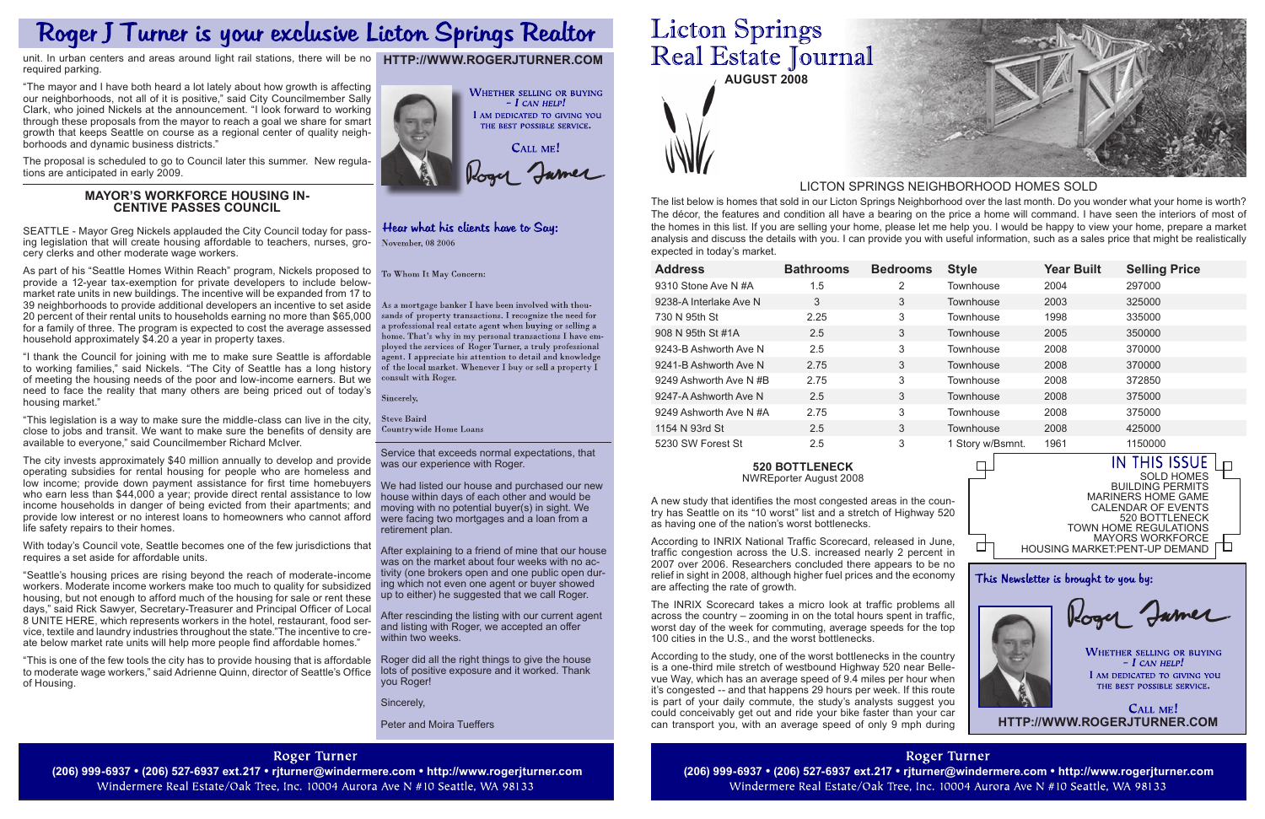| <b>Address</b>         | <b>Bathrooms</b> | <b>Bedrooms</b>          | <b>Style</b>     | <b>Year Built</b>       | <b>Selling Price</b> |
|------------------------|------------------|--------------------------|------------------|-------------------------|----------------------|
| 9310 Stone Ave N #A    | 1.5              | 2                        | Townhouse        | 2004                    | 297000               |
| 9238-A Interlake Ave N | 3                | 3                        | Townhouse        | 2003                    | 325000               |
| 730 N 95th St          | 2.25             | 3                        | Townhouse        | 1998                    | 335000               |
| 908 N 95th St #1A      | 2.5              | 3                        | Townhouse        | 2005                    | 350000               |
| 9243-B Ashworth Ave N  | 2.5              | 3                        | Townhouse        | 2008                    | 370000               |
| 9241-B Ashworth Ave N  | 2.75             | 3                        | Townhouse        | 2008                    | 370000               |
| 9249 Ashworth Ave N#B  | 2.75             | 3                        | Townhouse        | 2008                    | 372850               |
| 9247-A Ashworth Ave N  | 2.5              | 3                        | Townhouse        | 2008                    | 375000               |
| 9249 Ashworth Ave N#A  | 2.75             | 3                        | Townhouse        | 2008                    | 375000               |
| 1154 N 93rd St         | 2.5              | 3                        | Townhouse        | 2008                    | 425000               |
| 5230 SW Forest St      | 2.5              | 3                        | 1 Story w/Bsmnt. | 1961                    | 1150000              |
| <b>520 BOTTLENECK</b>  |                  | $\overline{\phantom{a}}$ |                  | <b>THIS ISSUE</b><br>IN |                      |

**AUGUST 2008**



Service that exceeds normal expectations, that was our experience with Roger.

We had listed our house and purchased our new house within days of each other and would be moving with no potential buyer(s) in sight. We were facing two mortgages and a loan from a retirement plan.

> CALL ME! **http://www.rogerjturner.com**

After explaining to a friend of mine that our house was on the market about four weeks with no activity (one brokers open and one public open during which not even one agent or buyer showed up to either) he suggested that we call Roger.

After rescinding the listing with our current agent and listing with Roger, we accepted an offer within two weeks.

Roger did all the right things to give the house lots of positive exposure and it worked. Thank you Roger!

Sincerely,

Peter and Moira Tueffers

### **Roger Turner**

(206) 999-6937 • (206) 527-6937 ext.217 • rjturner@windermere.com • http://www.rogerjturner.com (206) 999-6937 • (206) 999-6937 • (206) 527-6937 ext.217 • rjturner@windermere.com • http://www.rogerjturner.com (206) 999-693 Windermere Real Estate/Oak Tree, Inc. 10004 Aurora Ave N #10 Seattle, WA 98133

# **Licton Springs** Real Estate Journal

The list below is homes that sold in our Licton Springs Neighborhood over the last month. Do you wonder what your home is worth? The décor, the features and condition all have a bearing on the price a home will command. I have seen the interiors of most of the homes in this list. If you are selling your home, please let me help you. I would be happy to view your home, prepare a market analysis and discuss the details with you. I can provide you with useful information, such as a sales price that might be realistically expected in today's market.

#### LICTON SPRINGS NEIGHBORHOOD HOMES SOLD

□

**http://www.rogerjturner.com**

CALL ME! Rogy Jamer

### Hear what his clients have to Say: November, 08 2006

As a mortgage banker I have been involved with thousands of property transactions. I recognize the need for a professional real estate agent when buying or selling a home. That's why in my personal transactions I have employed the services of Roger Turner, a truly professional agent. I appreciate his attention to detail and knowledge of the local market. Whenever I buy or sell a property I consult with Roger.

Sincerely,

**Steve Baird** Countrywide Home Loans



This Newsletter is brought to you by:

Rogy James

**WHETHER SELLING OR BUYING**  $-$  I can help! I AM DEDICATED TO GIVING YOU THE BEST POSSIBLE SERVICE.

#### **520 Bottleneck**

NWREporter August 2008

As part of his "Seattle Homes Within Reach" program, Nickels proposed to  $T_0$  Whom It May Concern: provide a 12-year tax-exemption for private developers to include belowmarket rate units in new buildings. The incentive will be expanded from 17 to 39 neighborhoods to provide additional developers an incentive to set aside 20 percent of their rental units to households earning no more than \$65,000 for a family of three. The program is expected to cost the average assessed household approximately \$4.20 a year in property taxes.

> A new study that identifies the most congested areas in the country has Seattle on its "10 worst" list and a stretch of Highway 520 as having one of the nation's worst bottlenecks.

> According to INRIX National Traffic Scorecard, released in June, traffic congestion across the U.S. increased nearly 2 percent in 2007 over 2006. Researchers concluded there appears to be no relief in sight in 2008, although higher fuel prices and the economy are affecting the rate of growth.

> The INRIX Scorecard takes a micro look at traffic problems all across the country – zooming in on the total hours spent in traffic, worst day of the week for commuting, average speeds for the top 100 cities in the U.S., and the worst bottlenecks.

> According to the study, one of the worst bottlenecks in the country is a one-third mile stretch of westbound Highway 520 near Bellevue Way, which has an average speed of 9.4 miles per hour when it's congested -- and that happens 29 hours per week. If this route is part of your daily commute, the study's analysts suggest you could conceivably get out and ride your bike faster than your car can transport you, with an average speed of only 9 mph during

> > **Roger Turner** Windermere Real Estate/Oak Tree, Inc. 10004 Aurora Ave N #10 Seattle, WA 98133



## Roger J Turner is your exclusive Licton Springs Realtor

unit. In urban centers and areas around light rail stations, there will be no required parking.

"The mayor and I have both heard a lot lately about how growth is affecting our neighborhoods, not all of it is positive," said City Councilmember Sally Clark, who joined Nickels at the announcement. "I look forward to working through these proposals from the mayor to reach a goal we share for smart growth that keeps Seattle on course as a regional center of quality neighborhoods and dynamic business districts."

The proposal is scheduled to go to Council later this summer. New regulations are anticipated in early 2009.

### **Mayor's Workforce Housing In- centive Passes Council**

SEATTLE - Mayor Greg Nickels applauded the City Council today for passing legislation that will create housing affordable to teachers, nurses, grocery clerks and other moderate wage workers.

"I thank the Council for joining with me to make sure Seattle is affordable to working families," said Nickels. "The City of Seattle has a long history of meeting the housing needs of the poor and low-income earners. But we need to face the reality that many others are being priced out of today's housing market."

"This legislation is a way to make sure the middle-class can live in the city, close to jobs and transit. We want to make sure the benefits of density are available to everyone," said Councilmember Richard McIver.

The city invests approximately \$40 million annually to develop and provide operating subsidies for rental housing for people who are homeless and low income; provide down payment assistance for first time homebuyers who earn less than \$44,000 a year; provide direct rental assistance to low income households in danger of being evicted from their apartments; and provide low interest or no interest loans to homeowners who cannot afford life safety repairs to their homes.

With today's Council vote, Seattle becomes one of the few jurisdictions that requires a set aside for affordable units.

"Seattle's housing prices are rising beyond the reach of moderate-income workers. Moderate income workers make too much to quality for subsidized housing, but not enough to afford much of the housing for sale or rent these days," said Rick Sawyer, Secretary-Treasurer and Principal Officer of Local 8 UNITE HERE, which represents workers in the hotel, restaurant, food service, textile and laundry industries throughout the state."The incentive to create below market rate units will help more people find affordable homes."

"This is one of the few tools the city has to provide housing that is affordable to moderate wage workers," said Adrienne Quinn, director of Seattle's Office of Housing.

**WHETHER SELLING OR BUYING**  $- I$  CAN HELP! I AM DEDICATED TO GIVING YOU THE BEST POSSIBLE SERVICE.